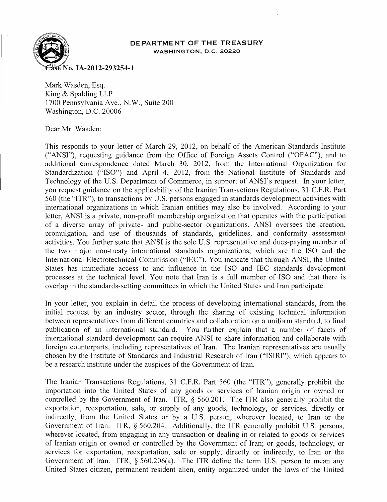

## **DEPARTMENT OF THE TREASURY**  WASHINGTON, D.C. 20220

Mark Wasden, Esq. King & Spalding LLP 1700 Pennsylvania Ave., N. W., Suite 200 Washington, D.C. 20006

Dear Mr. Wasden:

This responds to your letter of March 29, 2012, on behalf of the American Standards Institute ("ANSI"), requesting guidance from the Office of Foreign Assets Control ("OFAC"), and to additional correspondence dated March 30, 2012, from the International Organization for Standardization ("ISO") and April 4, 2012, from the National Institute of Standards and Technology of the U.S. Department of Commerce, in support of ANSI's request. In your letter, you request guidance on the applicability of the Iranian Transactions Regulations, 31 C.F.R. Part 560 (the "ITR"), to transactions by U.S. persons engaged in standards development activities with international organizations in which Iranian entities may also be involved. According to your letter, ANSI is a private, non-profit membership organization that operates with the participation of a diverse array of private- and public-sector organizations. ANSI oversees the creation, promulgation, and use of thousands of standards, guidelines, and conformity assessment activities. You further state that ANSI is the sole U. S. representative and dues-paying member of the two major non-treaty international standards organizations, which are the ISO and the International Electrotechnical Commission ("IEC"). You indicate that through ANSI, the United States has immediate access to and influence in the ISO and IEC standards development processes at the technical level. You note that Iran is a full member of ISO and that there is overlap in the standards-setting committees in which the United States and Iran participate.

In your letter, you explain in detail the process of developing international standards, from the initial request by an industry sector, through the sharing of existing technical information between representatives from different countries and collaboration on a uniform standard, to final publication of an international standard. You further explain that a number of facets of international standard development can require ANSI to share information and collaborate with foreign counterparts, including representatives of Iran. The Iranian representatives are usually chosen by the Institute of Standards and Industrial Research of Iran ("ISIRI"), which appears to be a research institute under the auspices of the Government of Iran.

The Iranian Transactions Regulations, 31 C.F.R. Part 560 (the "ITR"), generally prohibit the importation into the United States of any goods or services of Iranian origin or owned or controlled by the Government of Iran. ITR,  $\S$  560.201. The ITR also generally prohibit the exportation, reexportation, sale, or supply of any goods, technology, or services, directly or indirectly, from the United States or by a U.S. person, wherever located, to Iran or the Government of Iran. ITR, § 560.204. Additionally, the ITR generally prohibit U.S. persons, wherever located, from engaging in any transaction or dealing in or related to goods or services of Iranian origin or owned or controlled by the Government of Iran; or goods, technology, or services for exportation, reexportation, sale or supply, directly or indirectly, to Iran or the Government of Iran. ITR, § 560.206(a). The ITR define the term U.S. person to mean any United States citizen, permanent resident alien, entity organized under the laws of the United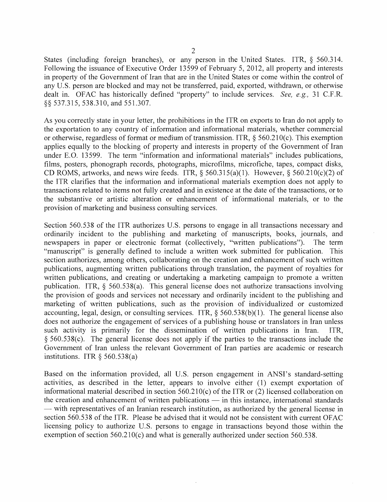States (including foreign branches), or any person in the United States. ITR, § 560.314. Following the issuance of Executive Order 13599 of February 5,2012, all property and interests in property of the Government of Iran that are in the United States or come within the control of any U.S. person are blocked and may not be transferred, paid, exported, withdrawn, or otherwise dealt in. OFAC has historically defined "property" to include services. *See, e.g.,* 31 C.F.R. §§ 537.315,538.310, and 551.307.

As you correctly state in your letter, the prohibitions in the ITR on exports to Iran do not apply to the exportation to any country of information and informational materials, whether commercial or otherwise, regardless of format or medium of transmission. ITR,  $\S$  560.210(c). This exemption applies equally to the blocking of property and interests in property of the Government of Iran under E.O. 13599. The term "information and informational materials" includes publications, films, posters, phonograph records, photographs, microfilms, microfiche, tapes, compact disks, CD ROMS, artworks, and news wire feeds. ITR,  $\S$  560.315(a)(1). However,  $\S$  560.210(c)(2) of the ITR clarifies that the information and informational materials exemption does not apply to transactions related to items not fully created and in existence at the date of the transactions, or to the substantive or artistic alteration or enhancement of informational materials, or to the provision of marketing and business consulting services.

Section 560.538 of the ITR authorizes U.S. persons to engage in all transactions necessary and ordinarily incident to the publishing and marketing of manuscripts, books, journals, and newspapers in paper or electronic format (collectively, "written publications"). The term "manuscript" is generally defined to include a written work submitted for publication. This section authorizes, among others, collaborating on the creation and enhancement of such written publications, augmenting written publications through translation, the payment of royalties for written publications, and creating or undertaking a marketing campaign to promote a written publication. ITR, § 560.538(a). This general license does not authorize transactions involving the provision of goods and services not necessary and ordinarily incident to the publishing and marketing of written publications, such as the provision of individualized or customized accounting, legal, design, or consulting services. ITR, § 560.538(b)(1). The general license also does not authorize the engagement of services of a publishing house or translators in Iran unless such activity is primarily for the dissemination of written publications in Iran. ITR, § 560.538(c). The general license does not apply if the parties to the transactions include the Goverrunent of Iran unless the relevant Government of Iran parties are academic or research institutions. ITR  $\delta$  560.538(a)

Based on the information provided, all U.S. person engagement in ANSI's standard-setting activities, as described in the letter, appears to involve either (1) exempt exportation of informational material described in section 560.210(c) of the ITR or (2) licensed collaboration on the creation and enhancement of written publications  $-$  in this instance, international standards — with representatives of an Iranian research institution, as authorized by the general license in section 560.538 of the ITR. Please be advised that it would not be consistent with current OFAC licensing policy to authorize U.S. persons to engage in transactions beyond those within the exemption of section 560.210(c) and what is generally authorized under section 560.538.